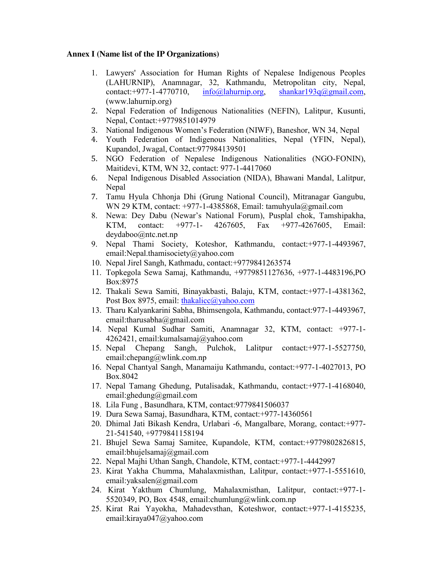## **Annex I (Name list of the IP Organizations)**

- 1. Lawyers' Association for Human Rights of Nepalese Indigenous Peoples (LAHURNIP), Anamnagar, 32, Kathmandu, Metropolitan city, Nepal, contact:+977-1-4770710,  $info(@laburnip.org, shankar193q@gmail.com,$ (www.lahurnip.org)
- 2. Nepal Federation of Indigenous Nationalities (NEFIN), Lalitpur, Kusunti, Nepal, Contact:+9779851014979
- 3. National Indigenous Women's Federation (NIWF), Baneshor, WN 34, Nepal
- 4. Youth Federation of Indigenous Nationalities, Nepal (YFIN, Nepal), Kupandol, Jwagal, Contact:977984139501
- 5. NGO Federation of Nepalese Indigenous Nationalities (NGO-FONIN), Maitidevi, KTM, WN 32, contact: 977-1-4417060
- 6. Nepal Indigenous Disabled Association (NIDA), Bhawani Mandal, Lalitpur, Nepal
- 7. Tamu Hyula Chhonja Dhi (Grung National Council), Mitranagar Gangubu, WN 29 KTM, contact: +977-1-4385868, Email: tamuhyula@gmail.com
- 8. Newa: Dey Dabu (Newar's National Forum), Pusplal chok, Tamshipakha, KTM, contact: +977-1- 4267605, Fax +977-4267605, Email: deydaboo@ntc.net.np
- 9. Nepal Thami Society, Koteshor, Kathmandu, contact:+977-1-4493967, email:Nepal.thamisociety@yahoo.com
- 10. Nepal Jirel Sangh, Kathmadu, contact:+9779841263574
- 11. Topkegola Sewa Samaj, Kathmandu, +9779851127636, +977-1-4483196,PO Box:8975
- 12. Thakali Sewa Samiti, Binayakbasti, Balaju, KTM, contact:+977-1-4381362, Post Box 8975, email: thakalicc@yahoo.com
- 13. Tharu Kalyankarini Sabha, Bhimsengola, Kathmandu, contact:977-1-4493967, email:tharusabha@gmail.com
- 14. Nepal Kumal Sudhar Samiti, Anamnagar 32, KTM, contact: +977-1- 4262421, email:kumalsamaj@yahoo.com
- 15. Nepal Chepang Sangh, Pulchok, Lalitpur contact:+977-1-5527750, email:chepang@wlink.com.np
- 16. Nepal Chantyal Sangh, Manamaiju Kathmandu, contact:+977-1-4027013, PO Box.8042
- 17. Nepal Tamang Ghedung, Putalisadak, Kathmandu, contact:+977-1-4168040, email:ghedung@gmail.com
- 18. Lila Fung , Basundhara, KTM, contact:9779841506037
- 19. Dura Sewa Samaj, Basundhara, KTM, contact:+977-14360561
- 20. Dhimal Jati Bikash Kendra, Urlabari -6, Mangalbare, Morang, contact:+977- 21-541540, +9779841158194
- 21. Bhujel Sewa Samaj Samitee, Kupandole, KTM, contact:+9779802826815, email:bhujelsamaj@gmail.com
- 22. Nepal Majhi Uthan Sangh, Chandole, KTM, contact:+977-1-4442997
- 23. Kirat Yakha Chumma, Mahalaxmisthan, Lalitpur, contact:+977-1-5551610, email:yaksalen@gmail.com
- 24. Kirat Yakthum Chumlung, Mahalaxmisthan, Lalitpur, contact:+977-1- 5520349, PO, Box 4548, email:chumlung@wlink.com.np
- 25. Kirat Rai Yayokha, Mahadevsthan, Koteshwor, contact:+977-1-4155235, email:kiraya047@yahoo.com